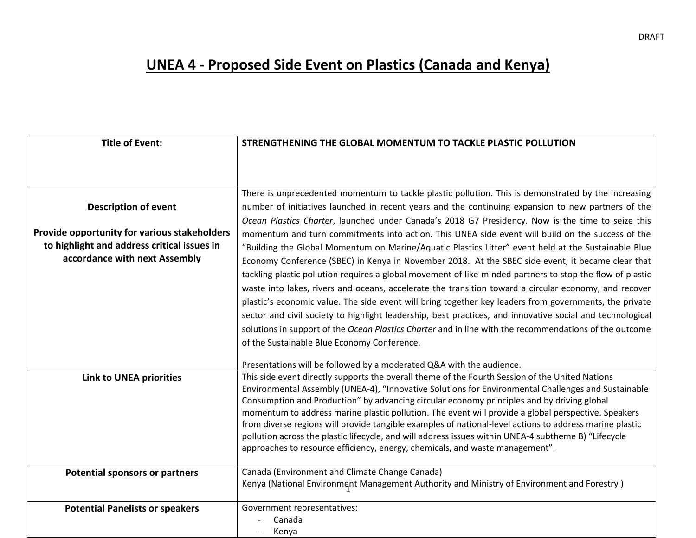## **UNEA 4 - Proposed Side Event on Plastics (Canada and Kenya)**

| <b>Title of Event:</b>                                                       | STRENGTHENING THE GLOBAL MOMENTUM TO TACKLE PLASTIC POLLUTION                                                                                                                                     |
|------------------------------------------------------------------------------|---------------------------------------------------------------------------------------------------------------------------------------------------------------------------------------------------|
|                                                                              |                                                                                                                                                                                                   |
|                                                                              |                                                                                                                                                                                                   |
|                                                                              | There is unprecedented momentum to tackle plastic pollution. This is demonstrated by the increasing                                                                                               |
| <b>Description of event</b>                                                  | number of initiatives launched in recent years and the continuing expansion to new partners of the                                                                                                |
|                                                                              | Ocean Plastics Charter, launched under Canada's 2018 G7 Presidency. Now is the time to seize this                                                                                                 |
| Provide opportunity for various stakeholders                                 | momentum and turn commitments into action. This UNEA side event will build on the success of the                                                                                                  |
| to highlight and address critical issues in<br>accordance with next Assembly | "Building the Global Momentum on Marine/Aquatic Plastics Litter" event held at the Sustainable Blue                                                                                               |
|                                                                              | Economy Conference (SBEC) in Kenya in November 2018. At the SBEC side event, it became clear that                                                                                                 |
|                                                                              | tackling plastic pollution requires a global movement of like-minded partners to stop the flow of plastic                                                                                         |
|                                                                              | waste into lakes, rivers and oceans, accelerate the transition toward a circular economy, and recover                                                                                             |
|                                                                              | plastic's economic value. The side event will bring together key leaders from governments, the private                                                                                            |
|                                                                              | sector and civil society to highlight leadership, best practices, and innovative social and technological                                                                                         |
|                                                                              | solutions in support of the Ocean Plastics Charter and in line with the recommendations of the outcome                                                                                            |
|                                                                              | of the Sustainable Blue Economy Conference.                                                                                                                                                       |
|                                                                              | Presentations will be followed by a moderated Q&A with the audience.                                                                                                                              |
| <b>Link to UNEA priorities</b>                                               | This side event directly supports the overall theme of the Fourth Session of the United Nations                                                                                                   |
|                                                                              | Environmental Assembly (UNEA-4), "Innovative Solutions for Environmental Challenges and Sustainable                                                                                               |
|                                                                              | Consumption and Production" by advancing circular economy principles and by driving global<br>momentum to address marine plastic pollution. The event will provide a global perspective. Speakers |
|                                                                              | from diverse regions will provide tangible examples of national-level actions to address marine plastic                                                                                           |
|                                                                              | pollution across the plastic lifecycle, and will address issues within UNEA-4 subtheme B) "Lifecycle                                                                                              |
|                                                                              | approaches to resource efficiency, energy, chemicals, and waste management".                                                                                                                      |
| <b>Potential sponsors or partners</b>                                        | Canada (Environment and Climate Change Canada)                                                                                                                                                    |
|                                                                              | Kenya (National Environment Management Authority and Ministry of Environment and Forestry)                                                                                                        |
| <b>Potential Panelists or speakers</b>                                       | Government representatives:                                                                                                                                                                       |
|                                                                              | Canada                                                                                                                                                                                            |
|                                                                              | Kenya                                                                                                                                                                                             |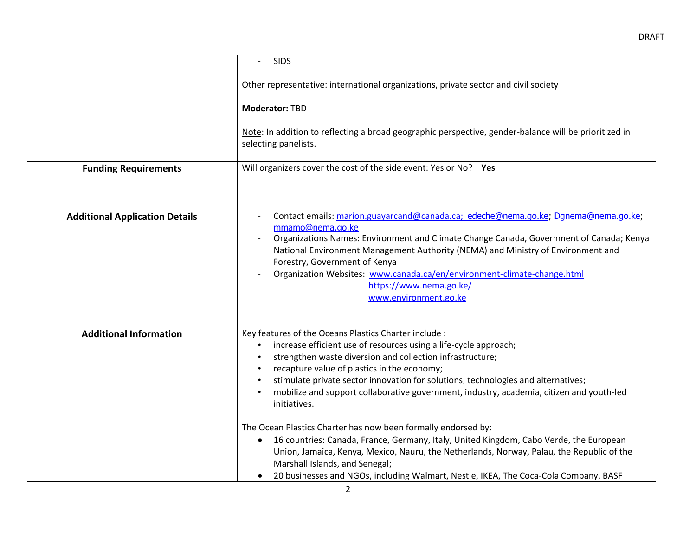|                                       | <b>SIDS</b><br>$\blacksquare$                                                                                                                                                                                                                                                                                                                                                                                                                         |
|---------------------------------------|-------------------------------------------------------------------------------------------------------------------------------------------------------------------------------------------------------------------------------------------------------------------------------------------------------------------------------------------------------------------------------------------------------------------------------------------------------|
|                                       | Other representative: international organizations, private sector and civil society                                                                                                                                                                                                                                                                                                                                                                   |
|                                       | <b>Moderator: TBD</b>                                                                                                                                                                                                                                                                                                                                                                                                                                 |
|                                       | Note: In addition to reflecting a broad geographic perspective, gender-balance will be prioritized in<br>selecting panelists.                                                                                                                                                                                                                                                                                                                         |
| <b>Funding Requirements</b>           | Will organizers cover the cost of the side event: Yes or No? Yes                                                                                                                                                                                                                                                                                                                                                                                      |
|                                       |                                                                                                                                                                                                                                                                                                                                                                                                                                                       |
| <b>Additional Application Details</b> | Contact emails: marion.guayarcand@canada.ca; edeche@nema.go.ke; Dgnema@nema.go.ke;<br>mmamo@nema.go.ke<br>Organizations Names: Environment and Climate Change Canada, Government of Canada; Kenya<br>National Environment Management Authority (NEMA) and Ministry of Environment and<br>Forestry, Government of Kenya<br>Organization Websites: www.canada.ca/en/environment-climate-change.html<br>https://www.nema.go.ke/<br>www.environment.go.ke |
| <b>Additional Information</b>         | Key features of the Oceans Plastics Charter include :<br>increase efficient use of resources using a life-cycle approach;<br>strengthen waste diversion and collection infrastructure;<br>recapture value of plastics in the economy;<br>stimulate private sector innovation for solutions, technologies and alternatives;<br>mobilize and support collaborative government, industry, academia, citizen and youth-led<br>$\bullet$<br>initiatives.   |
|                                       | The Ocean Plastics Charter has now been formally endorsed by:<br>16 countries: Canada, France, Germany, Italy, United Kingdom, Cabo Verde, the European<br>$\bullet$<br>Union, Jamaica, Kenya, Mexico, Nauru, the Netherlands, Norway, Palau, the Republic of the<br>Marshall Islands, and Senegal;<br>20 businesses and NGOs, including Walmart, Nestle, IKEA, The Coca-Cola Company, BASF<br>٠                                                      |